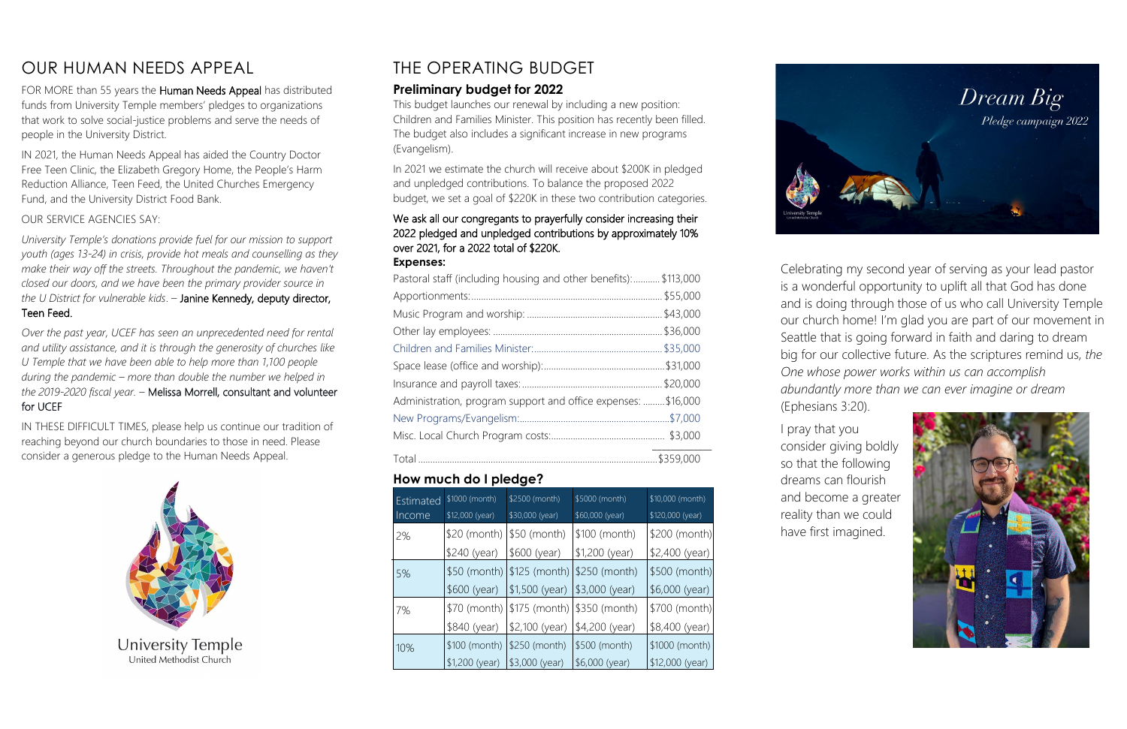# OUR HUMAN NEEDS APPEAL

FOR MORE than 55 years the Human Needs Appeal has distributed funds from University Temple members' pledges to organizations that work to solve social-justice problems and serve the needs of people in the University District.

IN 2021, the Human Needs Appeal has aided the Country Doctor Free Teen Clinic, the Elizabeth Gregory Home, the People's Harm Reduction Alliance, Teen Feed, the United Churches Emergency Fund, and the University District Food Bank.

#### OUR SERVICE AGENCIES SAY:

*University Temple's donations provide fuel for our mission to support youth (ages 13-24) in crisis, provide hot meals and counselling as they make their way off the streets. Throughout the pandemic, we haven't closed our doors, and we have been the primary provider source in the U District for vulnerable kids*. – Janine Kennedy, deputy director, Teen Feed.

*Over the past year, UCEF has seen an unprecedented need for rental and utility assistance, and it is through the generosity of churches like U Temple that we have been able to help more than 1,100 people during the pandemic – more than double the number we helped in the 2019-2020 fiscal year.* – Melissa Morrell, consultant and volunteer for UCEF

IN THESE DIFFICULT TIMES, please help us continue our tradition of reaching beyond our church boundaries to those in need. Please consider a generous pledge to the Human Needs Appeal.



# THE OPERATING BUDGET

### **Preliminary budget for 2022**

This budget launches our renewal by including a new position: Children and Families Minister. This position has recently been filled. The budget also includes a significant increase in new programs (Evangelism).

In 2021 we estimate the church will receive about \$200K in pledged and unpledged contributions. To balance the proposed 2022 budget, we set a goal of \$220K in these two contribution categories.

#### We ask all our congregants to prayerfully consider increasing their 2022 pledged and unpledged contributions by approximately 10% over 2021, for a 2022 total of \$220K. **Expenses:**

| Pastoral staff (including housing and other benefits): \$113,000 |           |
|------------------------------------------------------------------|-----------|
|                                                                  |           |
|                                                                  |           |
|                                                                  |           |
|                                                                  |           |
|                                                                  | \$31,000. |
|                                                                  |           |
| Administration, program support and office expenses:  \$16,000   |           |
|                                                                  |           |
|                                                                  |           |
|                                                                  |           |

### **How much do I pledge?**

| <b>Estimated</b> | \$1000 (month)  | \$2500 (month)  | \$5000 (month)                | \$10,000 (month) |
|------------------|-----------------|-----------------|-------------------------------|------------------|
| Income           | \$12,000 (year) | \$30,000 (year) | \$60,000 (year)               | \$120,000 (year) |
| 2%               | \$20 (month)    | $$50$ (month)   | \$100 (month)                 | \$200 (month)    |
|                  | \$240 (year)    | \$600 (year)    | $$1,200$ (year)               | \$2,400 (year)   |
| 5%               | $$50$ (month)   | $$125$ (month)  | \$250 (month)                 | \$500 (month)    |
|                  | \$600 (year)    | $$1,500$ (year) | \$3,000 (year)                | \$6,000 (year)   |
| 7%               | \$70 (month)    |                 | $$175$ (month) $$350$ (month) | \$700 (month)    |
|                  | \$840 (year)    | \$2,100 (year)  | \$4,200 (year)                | \$8,400 (year) I |
| 10%              | \$100 (month)   | \$250 (month)   | \$500 (month)                 | \$1000 (month)   |
|                  | $$1,200$ (year) | $$3,000$ (year) | $$6,000$ (year)               | $$12,000$ (year) |



Celebrating my second year of serving as your lead pastor is a wonderful opportunity to uplift all that God has done and is doing through those of us who call University Temple our church home! I'm glad you are part of our movement in Seattle that is going forward in faith and daring to dream big for our collective future. As the scriptures remind us, *the One whose power works within us can accomplish abundantly more than we can ever imagine or dream*

(Ephesians 3:20).

I pray that you

consider giving boldly so that the following dreams can flourish and become a greater reality than we could have first imagined.